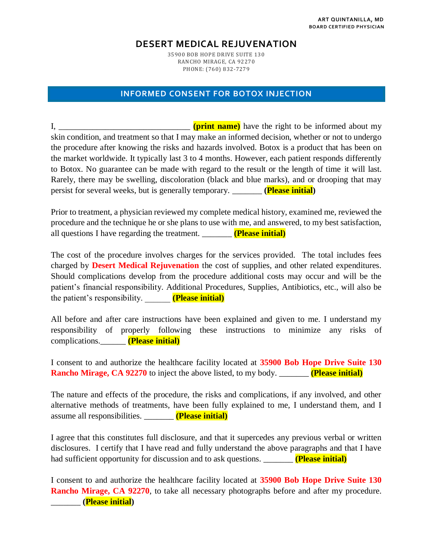## **DESERT MEDICAL REJUVENATION**

35900 BOB HOPE DRIVE SUITE 130 RANCHO MIRAGE, CA 92270 PHONE: (760) 832-7279

## **INFORMED CONSENT FOR BOTOX INJECTION**

I, **I (print name)** have the right to be informed about my skin condition, and treatment so that I may make an informed decision, whether or not to undergo the procedure after knowing the risks and hazards involved. Botox is a product that has been on the market worldwide. It typically last 3 to 4 months. However, each patient responds differently to Botox. No guarantee can be made with regard to the result or the length of time it will last. Rarely, there may be swelling, discoloration (black and blue marks), and or drooping that may persist for several weeks, but is generally temporary. \_\_\_\_\_\_\_ **(Please initial)**

Prior to treatment, a physician reviewed my complete medical history, examined me, reviewed the procedure and the technique he or she plans to use with me, and answered, to my best satisfaction, all questions I have regarding the treatment. \_\_\_\_\_\_\_ **(Please initial)**

The cost of the procedure involves charges for the services provided. The total includes fees charged by **Desert Medical Rejuvenation** the cost of supplies, and other related expenditures. Should complications develop from the procedure additional costs may occur and will be the patient's financial responsibility. Additional Procedures, Supplies, Antibiotics, etc., will also be the patient's responsibility. \_\_\_\_\_\_ **(Please initial)**

All before and after care instructions have been explained and given to me. I understand my responsibility of properly following these instructions to minimize any risks of complications.\_\_\_\_\_\_ **(Please initial)**

I consent to and authorize the healthcare facility located at **35900 Bob Hope Drive Suite 130 Rancho Mirage, CA 92270** to inject the above listed, to my body. \_\_\_\_\_\_\_ **(Please initial)**

The nature and effects of the procedure, the risks and complications, if any involved, and other alternative methods of treatments, have been fully explained to me, I understand them, and I assume all responsibilities. \_\_\_\_\_\_\_ **(Please initial)**

I agree that this constitutes full disclosure, and that it supercedes any previous verbal or written disclosures. I certify that I have read and fully understand the above paragraphs and that I have had sufficient opportunity for discussion and to ask questions. **The** *Please initial* 

I consent to and authorize the healthcare facility located at **35900 Bob Hope Drive Suite 130 Rancho Mirage, CA 92270**, to take all necessary photographs before and after my procedure. \_\_\_\_\_\_\_ **(Please initial)**